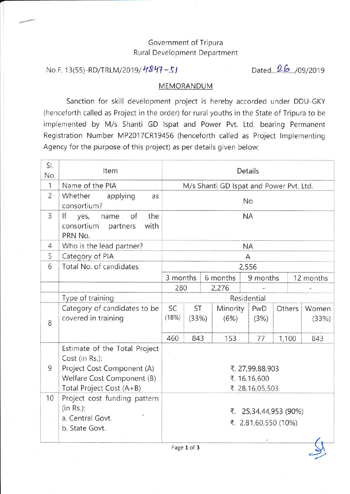## Government of Tripura Rural Development Department

## No.F. 13(55)-RD/TRLM/2019/ $H847 - 51$  Dated...2.6.../09/2019

?

## MEMORANDUM

Sanction for skill development project is hereby accorded under DDU-GKY (henceforth called as Project in the order) for rural youths in the State of Tripura to be implemented by M/s Shanti GD lspat and Power Pvt. Ltd. bearing Permanent Registration Number MP2017CR19456 (henceforth called as Project Implementing Agency for the purpose of this project) as per details given below:

| SI.<br>No.     | Item                                                                                                                                    | Details                                            |             |  |                                         |             |        |                |  |
|----------------|-----------------------------------------------------------------------------------------------------------------------------------------|----------------------------------------------------|-------------|--|-----------------------------------------|-------------|--------|----------------|--|
| $\mathbf{1}$   | Name of the PIA                                                                                                                         |                                                    |             |  | M/s Shanti GD Ispat and Power Pvt. Ltd. |             |        |                |  |
| $\overline{c}$ | Whether<br>applying<br>as<br>consortium?                                                                                                | No                                                 |             |  |                                         |             |        |                |  |
| $\overline{3}$ | the<br>If<br>of<br>yes,<br>name<br>consortium<br>with<br>partners<br>PRN No.                                                            | <b>NA</b>                                          |             |  |                                         |             |        |                |  |
| $\overline{4}$ | Who is the lead partner?                                                                                                                |                                                    | <b>NA</b>   |  |                                         |             |        |                |  |
| 5              | Category of PIA                                                                                                                         | Α                                                  |             |  |                                         |             |        |                |  |
| 6              | Total No. of candidates                                                                                                                 | 2,556                                              |             |  |                                         |             |        |                |  |
|                |                                                                                                                                         | 3 months                                           |             |  | 6 months                                | 9 months    |        | 12 months      |  |
|                |                                                                                                                                         | 280                                                |             |  | 2,276                                   |             |        |                |  |
|                | Type of training                                                                                                                        |                                                    | Residential |  |                                         |             |        |                |  |
| 8              | Category of candidates to be<br>covered in training                                                                                     | <b>SC</b><br>(18%)                                 | ST<br>(33%) |  | Minority<br>(6%)                        | PwD<br>(3%) | Others | Women<br>(33%) |  |
|                |                                                                                                                                         | 460                                                | 843         |  | 153                                     | 77          | 1,100  | 843            |  |
| 9              | Estimate of the Total Project<br>Cost (in Rs.):<br>Project Cost Component (A)<br>Welfare Cost Component (B)<br>Total Project Cost (A+B) | ₹. 27,99,88,903<br>₹. 16,16,600<br>₹. 28,16,05,503 |             |  |                                         |             |        |                |  |
| 10             | Project cost funding pattern<br>$(in Rs.)$ :<br>a. Central Govt.<br>b. State Govt.                                                      | ₹. 25,34,44,953 (90%)<br>₹. 2,81,60,550 (10%)      |             |  |                                         |             |        |                |  |

Page 1 of 3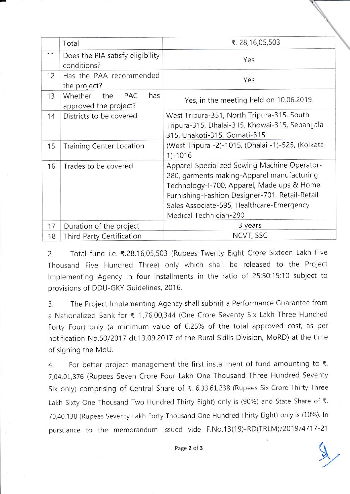|    | Total                                                 | ₹. 28,16,05,503                                                                                                                                                                                                                                                   |  |
|----|-------------------------------------------------------|-------------------------------------------------------------------------------------------------------------------------------------------------------------------------------------------------------------------------------------------------------------------|--|
| 11 | Does the PIA satisfy eligibility<br>conditions?       | Yes                                                                                                                                                                                                                                                               |  |
| 12 | Has the PAA recommended<br>the project?               | Yes                                                                                                                                                                                                                                                               |  |
| 13 | Whether<br>the<br>PAC<br>has<br>approved the project? | Yes, in the meeting held on 10.06.2019.                                                                                                                                                                                                                           |  |
| 14 | Districts to be covered                               | West Tripura-351, North Tripura-315, South<br>Tripura-315, Dhalai-315, Khowai-315, Sepahijala-<br>315, Unakoti-315, Gomati-315                                                                                                                                    |  |
| 15 | <b>Training Center Location</b>                       | (West Tripura -2)-1015, (Dhalai -1)-525, (Kolkata-<br>$1)-1016$                                                                                                                                                                                                   |  |
| 16 | Trades to be covered                                  | Apparel-Specialized Sewing Machine Operator-<br>280, garments making-Apparel manufacturing<br>Technology-I-700, Apparel, Made ups & Home<br>Furnishing-Fashion Designer-701, Retail-Retail<br>Sales Associate-595, Healthcare-Emergency<br>Medical Technician-280 |  |
| 17 | Duration of the project                               | 3 years                                                                                                                                                                                                                                                           |  |
| 18 | Third Party Certification                             | NCVT, SSC                                                                                                                                                                                                                                                         |  |

2. Total fund i.e. ₹.28,16,05,503 (Rupees Twenty Eight Crore Sixteen Lakh Five Thousand Five Hundred Three) only which shall be released to the Project Implementing Agency in four installments in the ratio of 25:50:15:10 subject to provisions of DDU-GKY Guidelines, 2016.

3. The Project lmplementing Agency shall submit a Performance Guarantee from a Nationalized Bank for ₹. 1,76,00,344 (One Crore Seventy Six Lakh Three Hundred Forty Four) only (a minimum value of 6.25% of the total approved cost, as per notification No.50/2017 dt.13.09.2017 of the Rural Skills Division, MoRD) at the time of signing the MoU.

4. For better project management the first installment of fund amounting to  $\bar{\tau}$ . 7,04,01,376 (Rupees Seven Crore Four Lakh One Thousand Three Hundred Seventy Six only) comprising of Central Share of ₹. 6,33,61,238 (Rupees Six Crore Thirty Three Lakh Sixty One Thousand Two Hundred Thirty Eight) only is (90%) and State Share of  $\xi$ . 70,40,138 (Rupees Seventy Lakh Forty Thousand One Hundred Thirty Eight) only is (10%). In pursuance to the memorandum issued vide F.No.13(19)-RD(TRLM)/2O19/4717 -21

 $\sqrt{2}$